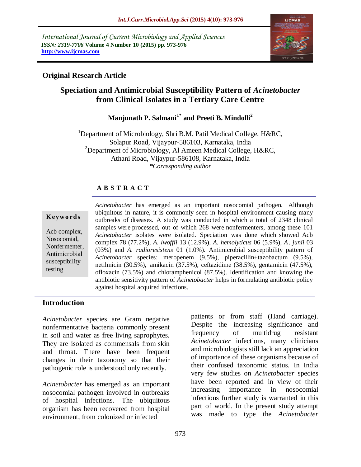*International Journal of Current Microbiology and Applied Sciences ISSN: 2319-7706* **Volume 4 Number 10 (2015) pp. 973-976 http://www.ijcmas.com** 



### **Original Research Article**

# **Speciation and Antimicrobial Susceptibility Pattern of** *Acinetobacter* **from Clinical Isolates in a Tertiary Care Centre**

**Manjunath P. Salmani1\* and Preeti B. Mindolli<sup>2</sup>**

<sup>1</sup>Department of Microbiology, Shri B.M. Patil Medical College, H&RC, Solapur Road, Vijaypur-586103, Karnataka, India <sup>2</sup>Department of Microbiology, Al Ameen Medical College, H&RC, Athani Road, Vijaypur-586108, Karnataka, India *\*Corresponding author*

#### **A B S T R A C T**

#### **K ey w o rd s**

Acb complex, Nosocomial, Nonfermenter, Antimicrobial susceptibility testing

*Acinetobacter* has emerged as an important nosocomial pathogen. Although ubiquitous in nature, it is commonly seen in hospital environment causing many outbreaks of diseases. A study was conducted in which a total of 2348 clinical samples were processed, out of which 268 were nonfermenters, among these 101 *Acinetobacter* isolates were isolated. Speciation was done which showed Acb complex 78 (77.2%), *A. lwoffii* 13 (12.9%), *A. hemolyticus* 06 (5.9%), *A. junii* 03 (03%) and *A. radioresistens* 01 (1.0%). Antimicrobial susceptibility pattern of *Acinetobacter* species: meropenem (9.5%), piperacillin+tazobactum (9.5%), netilmicin (30.5%), amikacin (37.5%), ceftazidime (38.5%), gentamicin (47.5%), ofloxacin (73.5%) and chloramphenicol (87.5%). Identification and knowing the antibiotic sensitivity pattern of *Acinetobacter* helps in formulating antibiotic policy against hospital acquired infections.

#### **Introduction**

*Acinetobacter* species are Gram negative nonfermentative bacteria commonly present in soil and water as free living saprophytes. They are isolated as commensals from skin and throat. There have been frequent changes in their taxonomy so that their pathogenic role is understood only recently.

*Acinetobacter* has emerged as an important nosocomial pathogen involved in outbreaks of hospital infections. The ubiquitous organism has been recovered from hospital environment, from colonized or infected

patients or from staff (Hand carriage). Despite the increasing significance and frequency of multidrug resistant *Acinetobacter* infections, many clinicians and microbiologists still lack an appreciation of importance of these organisms because of their confused taxonomic status. In India very few studies on *Acinetobacter* species have been reported and in view of their increasing importance in nosocomial infections further study is warranted in this part of world. In the present study attempt was made to type the *Acinetobacter*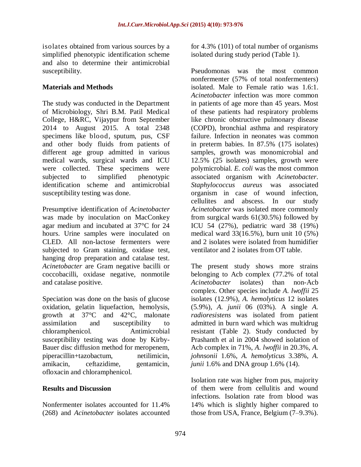isolates obtained from various sources by a simplified phenotypic identification scheme and also to determine their antimicrobial susceptibility.

#### **Materials and Methods**

The study was conducted in the Department of Microbiology, Shri B.M. Patil Medical College, H&RC, Vijaypur from September 2014 to August 2015. A total 2348 specimens like blood, sputum, pus, CSF and other body fluids from patients of different age group admitted in various medical wards, surgical wards and ICU were collected. These specimens were subjected to simplified phenotypic identification scheme and antimicrobial susceptibility testing was done.

Presumptive identification of *Acinetobacter* was made by inoculation on MacConkey agar medium and incubated at 37°C for 24 hours. Urine samples were inoculated on CLED. All non-lactose fermenters were subjected to Gram staining, oxidase test, hanging drop preparation and catalase test. *Acinetobacter* are Gram negative bacilli or coccobacilli, oxidase negative, nonmotile and catalase positive.

Speciation was done on the basis of glucose oxidation, gelatin liquefaction, hemolysis, growth at 37°C and 42°C, malonate assimilation and susceptibility to chloramphenicol. Antimicrobial susceptibility testing was done by Kirby-Bauer disc diffusion method for meropenem, piperacillin+tazobactum, netilimicin, amikacin, ceftazidime, gentamicin, ofloxacin and chloramphenicol.

#### **Results and Discussion**

Nonfermenter isolates accounted for 11.4% (268) and *Acinetobacter* isolates accounted for 4.3% (101) of total number of organisms isolated during study period (Table 1).

Pseudomonas was the most common nonfermenter (57% of total nonfermenters) isolated. Male to Female ratio was 1.6:1. *Acinetobacter* infection was more common in patients of age more than 45 years. Most of these patients had respiratory problems like chronic obstructive pulmonary disease (COPD), bronchial asthma and respiratory failure. Infection in neonates was common in preterm babies. In 87.5% (175 isolates) samples, growth was monomicrobial and 12.5% (25 isolates) samples, growth were polymicrobial. *E. coli* was the most common associated organism with *Acinetobacter*. *Staphylococcus aureus* was associated organism in case of wound infection, cellulites and abscess. In our study *Acinetobacter* was isolated more commonly from surgical wards 61(30.5%) followed by ICU 54 (27%), pediatric ward 38 (19%) medical ward 33(16.5%), burn unit 10 (5%) and 2 isolates were isolated from humidifier ventilator and 2 isolates from OT table.

The present study shows more strains belonging to Acb complex (77.2% of total *Acinetobacter* isolates) than non-Acb complex. Other species include *A. lwoffii* 25 isolates (12.9%), *A. hemolyticus* 12 isolates (5.9%), *A. junii* 06 (03%). A single *A. radioresistens* was isolated from patient admitted in burn ward which was multidrug resistant (Table 2). Study conducted by Prashanth et al in 2004 showed isolation of Acb complex in 71%, *A. lwoffii* in 20.3%, *A. johnsonii* 1.6%, *A. hemolyticus* 3.38%, *A. junii* 1.6% and DNA group 1.6% (14).

Isolation rate was higher from pus, majority of them were from cellulitis and wound infections. Isolation rate from blood was 14% which is slightly higher compared to those from USA, France, Belgium (7–9.3%).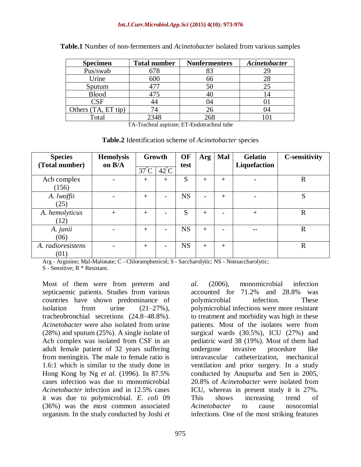| <b>Specimen</b>     | <b>Total number</b> | <b>Nonfermenters</b> | Acinetobacter |
|---------------------|---------------------|----------------------|---------------|
| Pus/swab            | 678                 | 83                   | 29            |
| Urine               | 600                 | 66                   | 28            |
| Sputum              |                     | 50                   |               |
| <b>Blood</b>        | 475                 |                      |               |
| CSF                 |                     | 04                   |               |
| Others (TA, ET tip) |                     |                      | )4            |
| Total               | 2348                | 268                  |               |

|  |  |  | <b>Table.1</b> Number of non-fermenters and <i>Acinetobacter</i> isolated from various samples |  |  |  |  |  |  |  |
|--|--|--|------------------------------------------------------------------------------------------------|--|--|--|--|--|--|--|
|--|--|--|------------------------------------------------------------------------------------------------|--|--|--|--|--|--|--|

TA-Tracheal aspirate; ET-Endotracheal tube

**Table.2** Identification scheme of *Acinetobacter* species

| <b>Species</b>            | <b>Hemolysis</b> |                | Growth                   | OF        | Arg            | Mal    | <b>Gelatin</b> | <b>C-sensitivity</b> |
|---------------------------|------------------|----------------|--------------------------|-----------|----------------|--------|----------------|----------------------|
| (Total number)            | on B/A           | $37^{\circ}$ C | $42^{\circ}$ C           | test      |                |        | Liquefaction   |                      |
| Acb complex<br>(156)      |                  | $^{+}$         | $^{+}$                   | S         | $^{+}$         | $+$    |                | $\mathbf R$          |
| A. lwoffii<br>(25)        |                  | $^{+}$         | $\overline{\phantom{a}}$ | <b>NS</b> | $\overline{a}$ | $+$    |                | S                    |
| A. hemolyticus<br>(12)    | $+$              | $^{+}$         |                          | S         | $^{+}$         |        | $+$            | $\mathbf R$          |
| A. junii<br>(06)          |                  | $^{+}$         | $\overline{\phantom{0}}$ | <b>NS</b> | $+$            |        |                | $\mathbf R$          |
| A. radioresistens<br>(01) |                  | $^{+}$         |                          | <b>NS</b> | $+$            | $^{+}$ |                | $\mathbf R$          |

Arg - Arginine; Mal-Malonate; C - Chloramphenicol; S - Saccharolytic; NS - Nonsaccharolytic; S - Sensitive; R \* Resistant.

Most of them were from preterm and septicaemic patients. Studies from various countries have shown predominance of isolation from urine  $(21-27\%)$ , tracheobronchial secretions (24.8–48.8%). *Acinetobacter* were also isolated from urine (28%) and sputum (25%). A single isolate of Acb complex was isolated from CSF in an adult female patient of 32 years suffering from meningitis. The male to female ratio is 1.6:1 which is similar to the study done in Hong Kong by Ng *et al.* (1996). In 87.5% cases infection was due to monomicrobial *Acinetobacter* infection and in 12.5% cases it was due to polymicrobial. *E. coli* 09 (36%) was the most common associated organism. In the study conducted by Joshi *et* 

*al.* (2006), monomicrobial infection accounted for 71.2% and 28.8% was polymicrobial infection. These polymicrobial infections were more resistant to treatment and morbidity was high in these patients. Most of the isolates were from surgical wards (30.5%), ICU (27%) and pediatric ward 38 (19%). Most of them had undergone invasive procedure like intravascular catheterization, mechanical ventilation and prior surgery. In a study conducted by Anupurba and Sen in 2005, 20.8% of *Acinetobacter* were isolated from ICU, whereas in present study it is 27%. This shows increasing trend of *Acinetobacter* to cause nosocomial infections. One of the most striking features